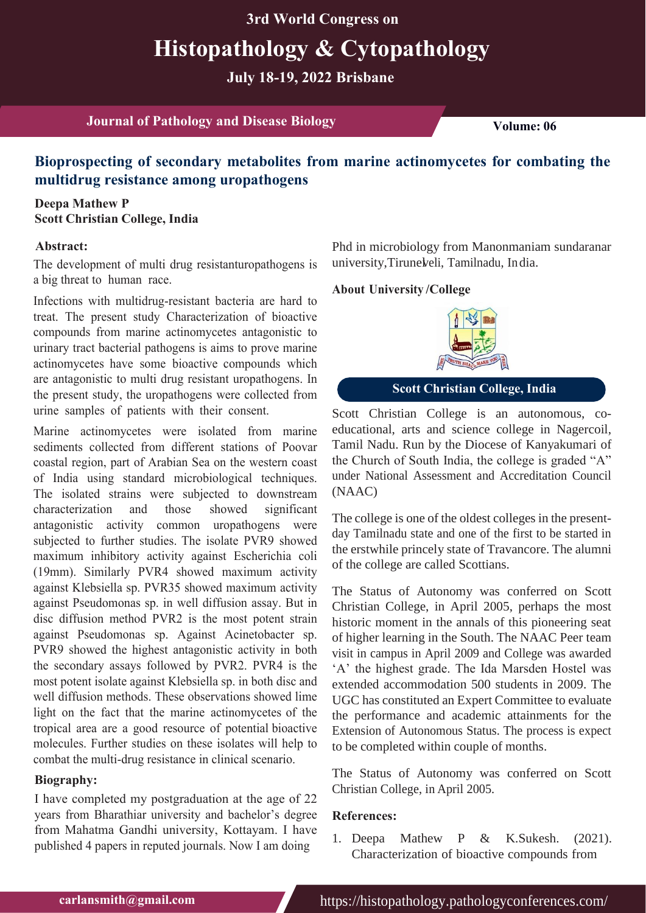**3rd World Congress on**

# **Histopathology & Cytopathology**

**July 18-19, 2022 Brisbane**

**Journal of Pathology and Disease Biology Volume:** 06

# **Bioprospecting of secondary metabolites from marine actinomycetes for combating the multidrug resistance among uropathogens**

### **Deepa Mathew P Scott Christian College, India**

#### **Abstract:**

The development of multi drug resistanturopathogens is a big threat to human race.

Infections with multidrug-resistant bacteria are hard to treat. The present study Characterization of bioactive compounds from marine actinomycetes antagonistic to urinary tract bacterial pathogens is aims to prove marine actinomycetes have some bioactive compounds which are antagonistic to multi drug resistant uropathogens. In the present study, the uropathogens were collected from urine samples of patients with their consent.

Marine actinomycetes were isolated from marine sediments collected from different stations of Poovar coastal region, part of Arabian Sea on the western coast of India using standard microbiological techniques. The isolated strains were subjected to downstream characterization and those showed significant antagonistic activity common uropathogens were subjected to further studies. The isolate PVR9 showed maximum inhibitory activity against Escherichia coli (19mm). Similarly PVR4 showed maximum activity against Klebsiella sp. PVR35 showed maximum activity against Pseudomonas sp. in well diffusion assay. But in disc diffusion method PVR2 is the most potent strain against Pseudomonas sp. Against Acinetobacter sp. PVR9 showed the highest antagonistic activity in both the secondary assays followed by PVR2. PVR4 is the most potent isolate against Klebsiella sp. in both disc and well diffusion methods. These observations showed lime light on the fact that the marine actinomycetes of the tropical area are a good resource of potential bioactive molecules. Further studies on these isolates will help to combat the multi-drug resistance in clinical scenario.

#### **Biography:**

I have completed my postgraduation at the age of 22 years from Bharathiar university and bachelor's degree from Mahatma Gandhi university, Kottayam. I have published 4 papers in reputed journals. Now I am doing

university, Tirunel veli, Tamilnadu, India. Phd in microbiology from Manonmaniam sundaranar

#### **/College About University**



**Scott Christian College, India**

Scott Christian College is an autonomous, coeducational, arts and science college in Nagercoil, Tamil Nadu. Run by the Diocese of Kanyakumari of the Church of South India, the college is graded "A" under National Assessment and Accreditation Council (NAAC)

The college is one of the oldest colleges in the presentday Tamilnadu state and one of the first to be started in the erstwhile princely state of Travancore. The alumni of the college are called Scottians.

The Status of Autonomy was conferred on Scott Christian College, in April 2005, perhaps the most historic moment in the annals of this pioneering seat of higher learning in the South. The NAAC Peer team visit in campus in April 2009 and College was awarded 'A' the highest grade. The Ida Marsden Hostel was extended accommodation 500 students in 2009. The UGC has constituted an Expert Committee to evaluate the performance and academic attainments for the Extension of Autonomous Status. The process is expect to be completed within couple of months.

The Status of Autonomy was conferred on Scott Christian College, in April 2005.

#### **References:**

1. [Deepa Mathew P & K.Sukesh. \(2021\).](https://www.ikprress.org/index.php/JOBARI/article/view/6843) [Characterization of bioactive compounds from](https://www.ikprress.org/index.php/JOBARI/article/view/6843)